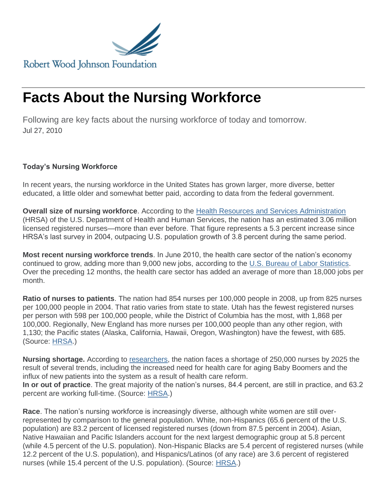

## **Facts About the Nursing Workforce**

Following are key facts about the nursing workforce of today and tomorrow. Jul 27, 2010

## **Today's Nursing Workforce**

In recent years, the nursing workforce in the United States has grown larger, more diverse, better educated, a little older and somewhat better paid, according to data from the federal government.

**Overall size of nursing workforce**. According to the [Health Resources and Services Administration](http://bhpr.hrsa.gov/healthworkforce/rnsurvey/initialfindings2008.pdf) (HRSA) of the U.S. Department of Health and Human Services, the nation has an estimated 3.06 million licensed registered nurses—more than ever before. That figure represents a 5.3 percent increase since HRSA's last survey in 2004, outpacing U.S. population growth of 3.8 percent during the same period.

**Most recent nursing workforce trends**. In June 2010, the health care sector of the nation's economy continued to grow, adding more than 9,000 new jobs, according to the [U.S. Bureau of Labor Statistics.](http://www.bls.gov/news.release/pdf/empsit.pdf) Over the preceding 12 months, the health care sector has added an average of more than 18,000 jobs per month.

**Ratio of nurses to patients**. The nation had 854 nurses per 100,000 people in 2008, up from 825 nurses per 100,000 people in 2004. That ratio varies from state to state. Utah has the fewest registered nurses per person with 598 per 100,000 people, while the District of Columbia has the most, with 1,868 per 100,000. Regionally, New England has more nurses per 100,000 people than any other region, with 1,130; the Pacific states (Alaska, California, Hawaii, Oregon, Washington) have the fewest, with 685. (Source: [HRSA.](http://bhpr.hrsa.gov/healthworkforce/rnsurvey/initialfindings2008.pdf))

**Nursing shortage.** According to [researchers,](http://content.healthaffairs.org/cgi/content/abstract/hlthaff.28.4.w657) the nation faces a shortage of 250,000 nurses by 2025 the result of several trends, including the increased need for health care for aging Baby Boomers and the influx of new patients into the system as a result of health care reform. **In or out of practice**. The great majority of the nation's nurses, 84.4 percent, are still in practice, and 63.2 percent are working full-time. (Source: [HRSA.](http://bhpr.hrsa.gov/healthworkforce/rnsurvey/initialfindings2008.pdf))

**Race**. The nation's nursing workforce is increasingly diverse, although white women are still overrepresented by comparison to the general population. White, non-Hispanics (65.6 percent of the U.S. population) are 83.2 percent of licensed registered nurses (down from 87.5 percent in 2004). Asian, Native Hawaiian and Pacific Islanders account for the next largest demographic group at 5.8 percent (while 4.5 percent of the U.S. population). Non-Hispanic Blacks are 5.4 percent of registered nurses (while 12.2 percent of the U.S. population), and Hispanics/Latinos (of any race) are 3.6 percent of registered nurses (while 15.4 percent of the U.S. population). (Source: [HRSA.](http://bhpr.hrsa.gov/healthworkforce/rnsurvey/initialfindings2008.pdf))